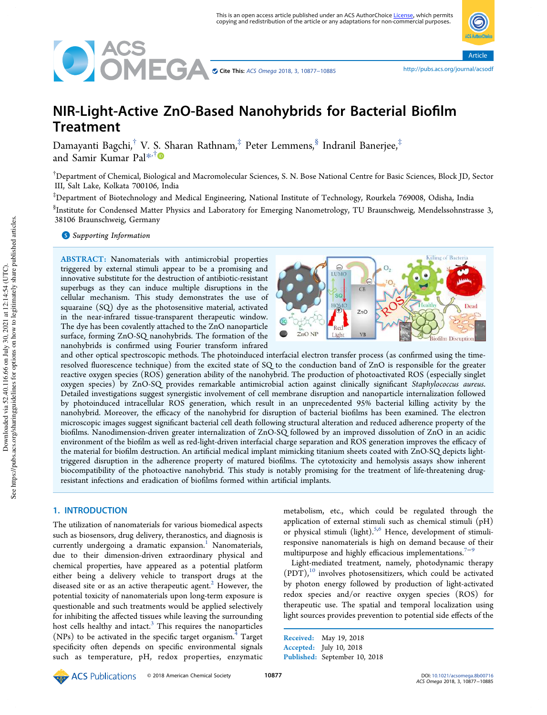

Cite This: ACS Omega 2018, 3, 10877−10885 http://pubs.acs.org/journal/acsodi ACS Omega 2018, 3, 10877−10885

Article

# NIR-Light-Active ZnO-Based Nanohybrids for Bacterial Biofilm **Treatment**

Damayanti Bagchi, $^\dagger$  V. S. Sharan Rathnam, $^\ddag$  Peter Lemmens, $^\$,$  Indranil Banerjee, $^\ddag$ and Samir Kumar Pal\* ,†

†Department of Chemical, Biological and Macromolecular Sciences, S. N. Bose National Centre for Basic Sciences, Block JD, Sector III, Salt Lake, Kolkata 700106, India

‡Department of Biotechnology and Medical Engineering, National Institute of Technology, Rourkela 769008, Odisha, India

 $^{\S}$ Institute for Condensed Matter Physics and Laboratory for Emerging Nanometrology, TU Braunschweig, Mendelssohnstrasse 3, 38106 Braunschweig, Germany

**S** Supporting Information

ABSTRACT: Nanomaterials with antimicrobial properties triggered by external stimuli appear to be a promising and innovative substitute for the destruction of antibiotic-resistant superbugs as they can induce multiple disruptions in the cellular mechanism. This study demonstrates the use of squaraine (SQ) dye as the photosensitive material, activated in the near-infrared tissue-transparent therapeutic window. The dye has been covalently attached to the ZnO nanoparticle surface, forming ZnO-SQ nanohybrids. The formation of the nanohybrids is confirmed using Fourier transform infrared



and other optical spectroscopic methods. The photoinduced interfacial electron transfer process (as confirmed using the timeresolved fluorescence technique) from the excited state of SQ to the conduction band of ZnO is responsible for the greater reactive oxygen species (ROS) generation ability of the nanohybrid. The production of photoactivated ROS (especially singlet oxygen species) by ZnO-SQ provides remarkable antimicrobial action against clinically significant Staphylococcus aureus. Detailed investigations suggest synergistic involvement of cell membrane disruption and nanoparticle internalization followed by photoinduced intracellular ROS generation, which result in an unprecedented 95% bacterial killing activity by the nanohybrid. Moreover, the efficacy of the nanohybrid for disruption of bacterial biofilms has been examined. The electron microscopic images suggest significant bacterial cell death following structural alteration and reduced adherence property of the biofilms. Nanodimension-driven greater internalization of ZnO-SQ followed by an improved dissolution of ZnO in an acidic environment of the biofilm as well as red-light-driven interfacial charge separation and ROS generation improves the efficacy of the material for biofilm destruction. An artificial medical implant mimicking titanium sheets coated with ZnO-SQ depicts lighttriggered disruption in the adherence property of matured biofilms. The cytotoxicity and hemolysis assays show inherent biocompatibility of the photoactive nanohybrid. This study is notably promising for the treatment of life-threatening drugresistant infections and eradication of biofilms formed within artificial implants.

# 1. INTRODUCTION

The utilization of nanomaterials for various biomedical aspects such as biosensors, drug delivery, theranostics, and diagnosis is currently undergoing a dramatic expansion.<sup>1</sup> Nanomaterials, due to their dimension-driven extraordinary physical and chemical properties, have appeared as a potential platform either being a delivery vehicle to transport drugs at the diseased site or as an active therapeutic agent. $<sup>2</sup>$  However, the</sup> potential toxicity of nanomaterials upon long-term exposure is questionable and such treatments would be applied selectively for inhibiting the affected tissues while leaving the surrounding host cells healthy and intact. $3$  This requires the nanoparticles  $(NPs)$  to be activated in the specific target organism.<sup>4</sup> Target specificity often depends on specific environmental signals such as temperature, pH, redox properties, enzymatic metabolism, etc., which could be regulated through the application of external stimuli such as chemical stimuli (pH) or physical stimuli (light). $5,6$  Hence, development of stimuliresponsive nanomaterials is high on demand because of their multipurpose and highly efficacious implementations.<sup>7−9</sup>

Light-mediated treatment, namely, photodynamic therapy  $(PDT)$ ,<sup>10</sup> involves photosensitizers, which could be activated by photon energy followed by production of light-activated redox species and/or reactive oxygen species (ROS) for therapeutic use. The spatial and temporal localization using light sources provides prevention to potential side effects of the

Received: May 19, 2018 Accepted: July 10, 2018 Published: September 10, 2018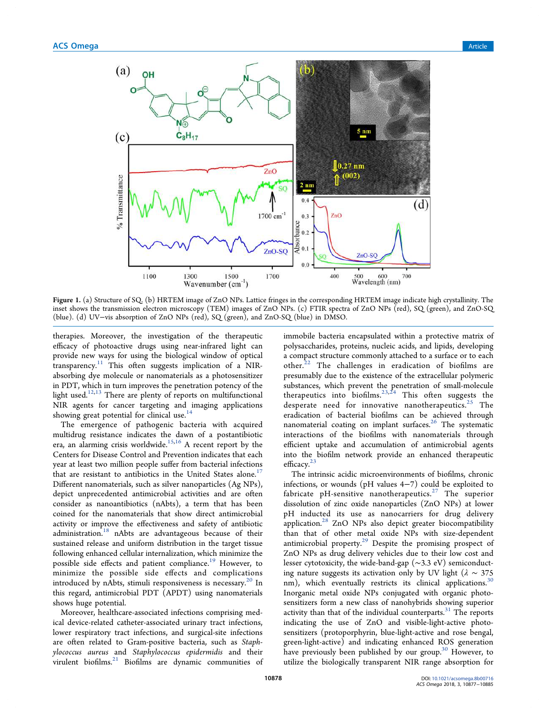

Figure 1. (a) Structure of SQ. (b) HRTEM image of ZnO NPs. Lattice fringes in the corresponding HRTEM image indicate high crystallinity. The inset shows the transmission electron microscopy (TEM) images of ZnO NPs. (c) FTIR spectra of ZnO NPs (red), SQ (green), and ZnO-SQ (blue). (d) UV−vis absorption of ZnO NPs (red), SQ (green), and ZnO-SQ (blue) in DMSO.

therapies. Moreover, the investigation of the therapeutic efficacy of photoactive drugs using near-infrared light can provide new ways for using the biological window of optical  $transparency.<sup>11</sup>$  This often suggests implication of a NIRabsorbing dye molecule or nanomaterials as a photosensitizer in PDT, which in turn improves the penetration potency of the light used.<sup>12,13</sup> There are plenty of reports on multifunctional NIR agents for cancer targeting and imaging applications showing great potential for clinical use.<sup>14</sup>

The emergence of pathogenic bacteria with acquired multidrug resistance indicates the dawn of a postantibiotic era, an alarming crisis worldwide.<sup>15,16</sup> A recent report by the Centers for Disease Control and Prevention indicates that each year at least two million people suffer from bacterial infections that are resistant to antibiotics in the United States alone.<sup>17</sup> Different nanomaterials, such as silver nanoparticles (Ag NPs), depict unprecedented antimicrobial activities and are often consider as nanoantibiotics (nAbts), a term that has been coined for the nanomaterials that show direct antimicrobial activity or improve the effectiveness and safety of antibiotic administration.<sup>18</sup> nAbts are advantageous because of their sustained release and uniform distribution in the target tissue following enhanced cellular internalization, which minimize the possible side effects and patient compliance.<sup>19</sup> However, to minimize the possible side effects and complications introduced by nAbts, stimuli responsiveness is necessary.<sup>20</sup> In this regard, antimicrobial PDT (APDT) using nanomaterials shows huge potential.

Moreover, healthcare-associated infections comprising medical device-related catheter-associated urinary tract infections, lower respiratory tract infections, and surgical-site infections are often related to Gram-positive bacteria, such as Staphylococcus aureus and Staphylococcus epidermidis and their virulent biofilms.<sup>21</sup> Biofilms are dynamic communities of immobile bacteria encapsulated within a protective matrix of polysaccharides, proteins, nucleic acids, and lipids, developing a compact structure commonly attached to a surface or to each other.<sup>22</sup> The challenges in eradication of biofilms are presumably due to the existence of the extracellular polymeric substances, which prevent the penetration of small-molecule therapeutics into biofilms. $^{23,24}$  This often suggests the desperate need for innovative nanotherapeutics.<sup>25</sup> The eradication of bacterial biofilms can be achieved through nanomaterial coating on implant surfaces.<sup>26</sup> The systematic interactions of the biofilms with nanomaterials through efficient uptake and accumulation of antimicrobial agents into the biofilm network provide an enhanced therapeutic efficacy. 23

The intrinsic acidic microenvironments of biofilms, chronic infections, or wounds (pH values 4−7) could be exploited to fabricate pH-sensitive nanotherapeutics.<sup>27</sup> The superior dissolution of zinc oxide nanoparticles (ZnO NPs) at lower pH inducted its use as nanocarriers for drug delivery application.<sup>28</sup> ZnO NPs also depict greater biocompatibility than that of other metal oxide NPs with size-dependent antimicrobial property.<sup>29</sup> Despite the promising prospect of ZnO NPs as drug delivery vehicles due to their low cost and lesser cytotoxicity, the wide-band-gap (∼3.3 eV) semiconducting nature suggests its activation only by UV light ( $\lambda \sim 375$ nm), which eventually restricts its clinical applications.<sup>30</sup> Inorganic metal oxide NPs conjugated with organic photosensitizers form a new class of nanohybrids showing superior activity than that of the individual counterparts. $31$  The reports indicating the use of ZnO and visible-light-active photosensitizers (protoporphyrin, blue-light-active and rose bengal, green-light-active) and indicating enhanced ROS generation have previously been published by our group.<sup>30</sup> However, to utilize the biologically transparent NIR range absorption for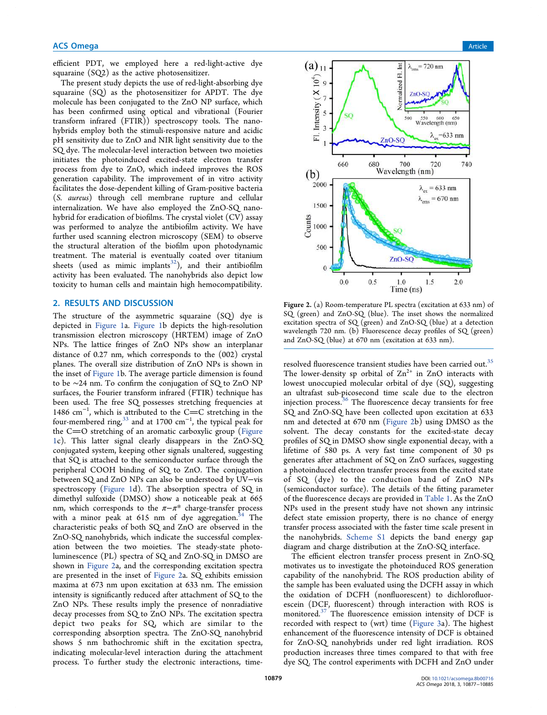## **ACS Omega** Article **Article** Article **Article Article Article Article Article** Article **Article** Article **Article**

efficient PDT, we employed here a red-light-active dye squaraine (SQ2) as the active photosensitizer.

The present study depicts the use of red-light-absorbing dye squaraine (SQ) as the photosensitizer for APDT. The dye molecule has been conjugated to the ZnO NP surface, which has been confirmed using optical and vibrational (Fourier transform infrared (FTIR)) spectroscopy tools. The nanohybrids employ both the stimuli-responsive nature and acidic pH sensitivity due to ZnO and NIR light sensitivity due to the SQ dye. The molecular-level interaction between two moieties initiates the photoinduced excited-state electron transfer process from dye to ZnO, which indeed improves the ROS generation capability. The improvement of in vitro activity facilitates the dose-dependent killing of Gram-positive bacteria (S. aureus) through cell membrane rupture and cellular internalization. We have also employed the ZnO-SQ nanohybrid for eradication of biofilms. The crystal violet (CV) assay was performed to analyze the antibiofilm activity. We have further used scanning electron microscopy (SEM) to observe the structural alteration of the biofilm upon photodynamic treatment. The material is eventually coated over titanium sheets (used as mimic implants $32$ ), and their antibiofilm activity has been evaluated. The nanohybrids also depict low toxicity to human cells and maintain high hemocompatibility.

# 2. RESULTS AND DISCUSSION

The structure of the asymmetric squaraine (SQ) dye is depicted in Figure 1a. Figure 1b depicts the high-resolution transmission electron microscopy (HRTEM) image of ZnO NPs. The lattice fringes of ZnO NPs show an interplanar distance of 0.27 nm, which corresponds to the (002) crystal planes. The overall size distribution of ZnO NPs is shown in the inset of Figure 1b. The average particle dimension is found to be ∼24 nm. To confirm the conjugation of SQ to ZnO NP surfaces, the Fourier transform infrared (FTIR) technique has been used. The free SQ possesses stretching frequencies at 1486 cm<sup>-1</sup>, which is attributed to the C=C stretching in the four-membered ring, $^{33}$  and at 1700  $\text{cm}^{-1}$ , the typical peak for the  $C=O$  stretching of an aromatic carboxylic group (Figure 1c). This latter signal clearly disappears in the ZnO-SQ conjugated system, keeping other signals unaltered, suggesting that SQ is attached to the semiconductor surface through the peripheral COOH binding of SQ to ZnO. The conjugation between SQ and ZnO NPs can also be understood by UV−vis spectroscopy (Figure 1d). The absorption spectra of SQ in dimethyl sulfoxide (DMSO) show a noticeable peak at 665 nm, which corresponds to the  $\pi - \pi^*$  charge-transfer process with a minor peak at 615 nm of dye aggregation.<sup>34</sup> The characteristic peaks of both SQ and ZnO are observed in the ZnO-SQ nanohybrids, which indicate the successful complexation between the two moieties. The steady-state photoluminescence (PL) spectra of SQ and ZnO-SQ in DMSO are shown in Figure 2a, and the corresponding excitation spectra are presented in the inset of Figure 2a. SQ exhibits emission maxima at 673 nm upon excitation at 633 nm. The emission intensity is significantly reduced after attachment of SQ to the ZnO NPs. These results imply the presence of nonradiative decay processes from SQ to ZnO NPs. The excitation spectra depict two peaks for SQ, which are similar to the corresponding absorption spectra. The ZnO-SQ nanohybrid shows 5 nm bathochromic shift in the excitation spectra, indicating molecular-level interaction during the attachment process. To further study the electronic interactions, time-



Figure 2. (a) Room-temperature PL spectra (excitation at 633 nm) of SQ (green) and ZnO-SQ (blue). The inset shows the normalized excitation spectra of SQ (green) and ZnO-SQ (blue) at a detection wavelength 720 nm. (b) Fluorescence decay profiles of SQ (green) and ZnO-SQ (blue) at 670 nm (excitation at 633 nm).

resolved fluorescence transient studies have been carried out.<sup>35</sup> The lower-density sp orbital of  $Zn^{2+}$  in ZnO interacts with lowest unoccupied molecular orbital of dye (SQ), suggesting an ultrafast sub-picosecond time scale due to the electron injection process.<sup>36</sup> The fluorescence decay transients for free SQ and ZnO-SQ have been collected upon excitation at 633 nm and detected at 670 nm (Figure 2b) using DMSO as the solvent. The decay constants for the excited-state decay profiles of SQ in DMSO show single exponential decay, with a lifetime of 580 ps. A very fast time component of 30 ps generates after attachment of SQ on ZnO surfaces, suggesting a photoinduced electron transfer process from the excited state of SQ (dye) to the conduction band of ZnO NPs (semiconductor surface). The details of the fitting parameter of the fluorescence decays are provided in Table 1. As the ZnO NPs used in the present study have not shown any intrinsic defect state emission property, there is no chance of energy transfer process associated with the faster time scale present in the nanohybrids. Scheme S1 depicts the band energy gap diagram and charge distribution at the ZnO-SQ interface.

The efficient electron transfer process present in ZnO-SQ motivates us to investigate the photoinduced ROS generation capability of the nanohybrid. The ROS production ability of the sample has been evaluated using the DCFH assay in which the oxidation of DCFH (nonfluorescent) to dichlorofluorescein (DCF, fluorescent) through interaction with ROS is monitored.<sup>37</sup> The fluorescence emission intensity of DCF is recorded with respect to (wrt) time (Figure 3a). The highest enhancement of the fluorescence intensity of DCF is obtained for ZnO-SQ nanohybrids under red light irradiation. ROS production increases three times compared to that with free dye SQ. The control experiments with DCFH and ZnO under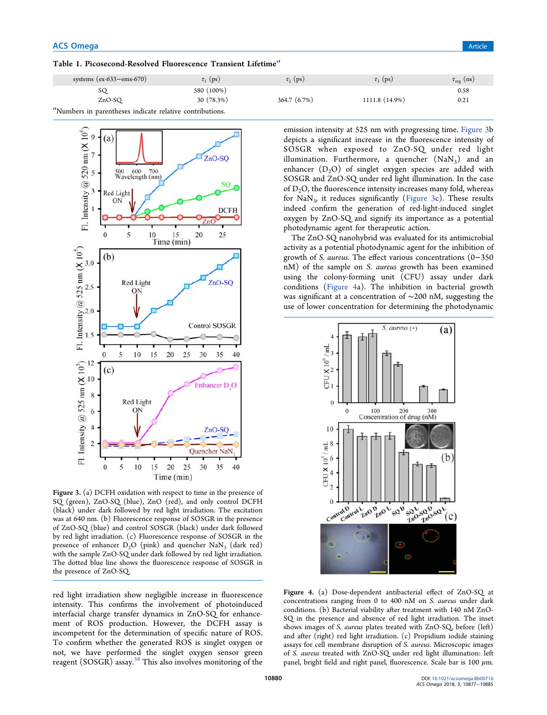Table 1. Picosecond-Resolved Fluorescence Transient Lifetime<sup>a</sup>

| systems $(ex-633-ems-670)$                               | $\tau_1$ (ps) | $\tau$ <sub>2</sub> (ps) | $\tau_{3}$ (ps) | $\tau_{\text{avg}}$ (ns) |
|----------------------------------------------------------|---------------|--------------------------|-----------------|--------------------------|
| SQ                                                       | 580 (100%)    |                          |                 | 0.58                     |
| ZnO-SO                                                   | 30 (78.3%)    | 364.7 (6.7%)             | 1111.8 (14.9%)  | 0.21                     |
| "Numbers in parentheses indicate relative contributions. |               |                          |                 |                          |



Figure 3. (a) DCFH oxidation with respect to time in the presence of SQ (green), ZnO-SQ (blue), ZnO (red), and only control DCFH (black) under dark followed by red light irradiation. The excitation was at 640 nm. (b) Fluorescence response of SOSGR in the presence of ZnO-SQ (blue) and control SOSGR (black) under dark followed by red light irradiation. (c) Fluorescence response of SOSGR in the presence of enhancer  $D_2O$  (pink) and quencher NaN<sub>3</sub> (dark red) with the sample ZnO-SQ under dark followed by red light irradiation. The dotted blue line shows the fluorescence response of SOSGR in the presence of ZnO-SQ.

red light irradiation show negligible increase in fluorescence intensity. This confirms the involvement of photoinduced interfacial charge transfer dynamics in ZnO-SQ for enhancement of ROS production. However, the DCFH assay is incompetent for the determination of specific nature of ROS. To confirm whether the generated ROS is singlet oxygen or not, we have performed the singlet oxygen sensor green reagent (SOSGR) assay.<sup>38</sup> This also involves monitoring of the

emission intensity at 525 nm with progressing time. Figure 3b depicts a significant increase in the fluorescence intensity of SOSGR when exposed to ZnO-SQ under red light illumination. Furthermore, a quencher  $(NaN_3)$  and an enhancer  $(D<sub>2</sub>O)$  of singlet oxygen species are added with SOSGR and ZnO-SQ under red light illumination. In the case of  $D<sub>2</sub>O$ , the fluorescence intensity increases many fold, whereas for NaN<sub>3</sub>, it reduces significantly (Figure 3c). These results indeed confirm the generation of red-light-induced singlet oxygen by ZnO-SQ and signify its importance as a potential photodynamic agent for therapeutic action.

The ZnO-SQ nanohybrid was evaluated for its antimicrobial activity as a potential photodynamic agent for the inhibition of growth of S. aureus. The effect various concentrations (0−350 nM) of the sample on S. aureus growth has been examined using the colony-forming unit (CFU) assay under dark conditions (Figure 4a). The inhibition in bacterial growth was significant at a concentration of ∼200 nM, suggesting the use of lower concentration for determining the photodynamic



Figure 4. (a) Dose-dependent antibacterial effect of ZnO-SQ at concentrations ranging from 0 to 400 nM on S. aureus under dark conditions. (b) Bacterial viability after treatment with 140 nM ZnO-SQ in the presence and absence of red light irradiation. The inset shows images of S. aureus plates treated with ZnO-SQ, before (left) and after (right) red light irradiation. (c) Propidium iodide staining assays for cell membrane disruption of S. aureus. Microscopic images of S. aureus treated with ZnO-SQ under red light illumination: left panel, bright field and right panel, fluorescence. Scale bar is 100  $\mu$ m.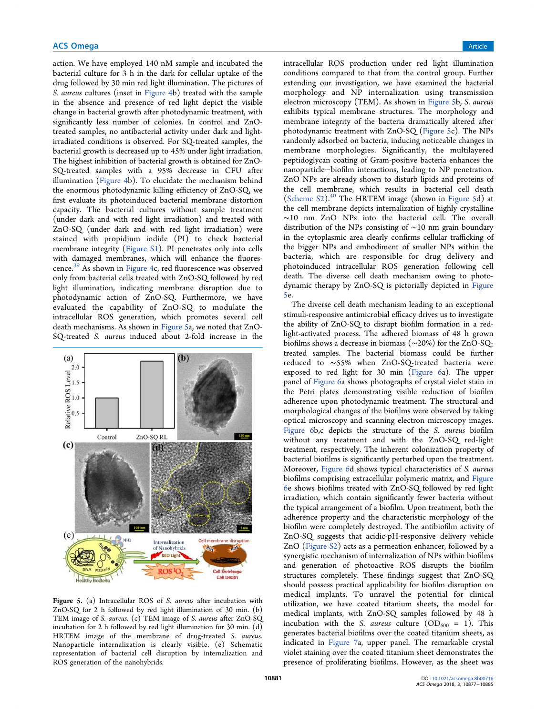action. We have employed 140 nM sample and incubated the bacterial culture for 3 h in the dark for cellular uptake of the drug followed by 30 min red light illumination. The pictures of S. aureus cultures (inset in Figure 4b) treated with the sample in the absence and presence of red light depict the visible change in bacterial growth after photodynamic treatment, with significantly less number of colonies. In control and ZnOtreated samples, no antibacterial activity under dark and lightirradiated conditions is observed. For SQ-treated samples, the bacterial growth is decreased up to 45% under light irradiation. The highest inhibition of bacterial growth is obtained for ZnO-SQ-treated samples with a 95% decrease in CFU after illumination (Figure 4b). To elucidate the mechanism behind the enormous photodynamic killing efficiency of ZnO-SQ, we first evaluate its photoinduced bacterial membrane distortion capacity. The bacterial cultures without sample treatment (under dark and with red light irradiation) and treated with ZnO-SQ (under dark and with red light irradiation) were stained with propidium iodide (PI) to check bacterial membrane integrity (Figure S1). PI penetrates only into cells with damaged membranes, which will enhance the fluorescence. <sup>39</sup> As shown in Figure 4c, red fluorescence was observed only from bacterial cells treated with ZnO-SQ followed by red light illumination, indicating membrane disruption due to photodynamic action of ZnO-SQ. Furthermore, we have evaluated the capability of ZnO-SQ to modulate the intracellular ROS generation, which promotes several cell death mechanisms. As shown in Figure 5a, we noted that ZnO-SQ-treated S. aureus induced about 2-fold increase in the



Figure 5. (a) Intracellular ROS of S. aureus after incubation with ZnO-SQ for 2 h followed by red light illumination of 30 min. (b) TEM image of S. aureus. (c) TEM image of S. aureus after ZnO-SQ incubation for 2 h followed by red light illumination for 30 min. (d) HRTEM image of the membrane of drug-treated S. aureus. Nanoparticle internalization is clearly visible. (e) Schematic representation of bacterial cell disruption by internalization and ROS generation of the nanohybrids.

intracellular ROS production under red light illumination conditions compared to that from the control group. Further extending our investigation, we have examined the bacterial morphology and NP internalization using transmission electron microscopy (TEM). As shown in Figure 5b, S. aureus exhibits typical membrane structures. The morphology and membrane integrity of the bacteria dramatically altered after photodynamic treatment with ZnO-SQ (Figure 5c). The NPs randomly adsorbed on bacteria, inducing noticeable changes in membrane morphologies. Significantly, the multilayered peptidoglycan coating of Gram-positive bacteria enhances the nanoparticle−biofilm interactions, leading to NP penetration. ZnO NPs are already shown to disturb lipids and proteins of the cell membrane, which results in bacterial cell death (Scheme  $S2$ ).<sup>40</sup> The HRTEM image (shown in Figure 5d) at the cell membrane depicts internalization of highly crystalline ∼10 nm ZnO NPs into the bacterial cell. The overall distribution of the NPs consisting of ∼10 nm grain boundary in the cytoplasmic area clearly confirms cellular trafficking of the bigger NPs and embodiment of smaller NPs within the bacteria, which are responsible for drug delivery and photoinduced intracellular ROS generation following cell death. The diverse cell death mechanism owing to photodynamic therapy by ZnO-SQ is pictorially depicted in Figure 5e.

The diverse cell death mechanism leading to an exceptional stimuli-responsive antimicrobial efficacy drives us to investigate the ability of ZnO-SQ to disrupt biofilm formation in a redlight-activated process. The adhered biomass of 48 h grown biofilms shows a decrease in biomass (∼20%) for the ZnO-SQtreated samples. The bacterial biomass could be further reduced to ∼55% when ZnO-SQ-treated bacteria were exposed to red light for 30 min (Figure 6a). The upper panel of Figure 6a shows photographs of crystal violet stain in the Petri plates demonstrating visible reduction of biofilm adherence upon photodynamic treatment. The structural and morphological changes of the biofilms were observed by taking optical microscopy and scanning electron microscopy images. Figure 6b,c depicts the structure of the S. aureus biofilm without any treatment and with the ZnO-SQ red-light treatment, respectively. The inherent colonization property of bacterial biofilms is significantly perturbed upon the treatment. Moreover, Figure 6d shows typical characteristics of S. aureus biofilms comprising extracellular polymeric matrix, and Figure 6e shows biofilms treated with ZnO-SQ followed by red light irradiation, which contain significantly fewer bacteria without the typical arrangement of a biofilm. Upon treatment, both the adherence property and the characteristic morphology of the biofilm were completely destroyed. The antibiofilm activity of ZnO-SQ suggests that acidic-pH-responsive delivery vehicle ZnO (Figure S2) acts as a permeation enhancer, followed by a synergistic mechanism of internalization of NPs within biofilms and generation of photoactive ROS disrupts the biofilm structures completely. These findings suggest that ZnO-SQ should possess practical applicability for biofilm disruption on medical implants. To unravel the potential for clinical utilization, we have coated titanium sheets, the model for medical implants, with ZnO-SQ samples followed by 48 h incubation with the *S. aureus* culture  $OD_{600} = 1$ ). This generates bacterial biofilms over the coated titanium sheets, as indicated in Figure 7a, upper panel. The remarkable crystal violet staining over the coated titanium sheet demonstrates the presence of proliferating biofilms. However, as the sheet was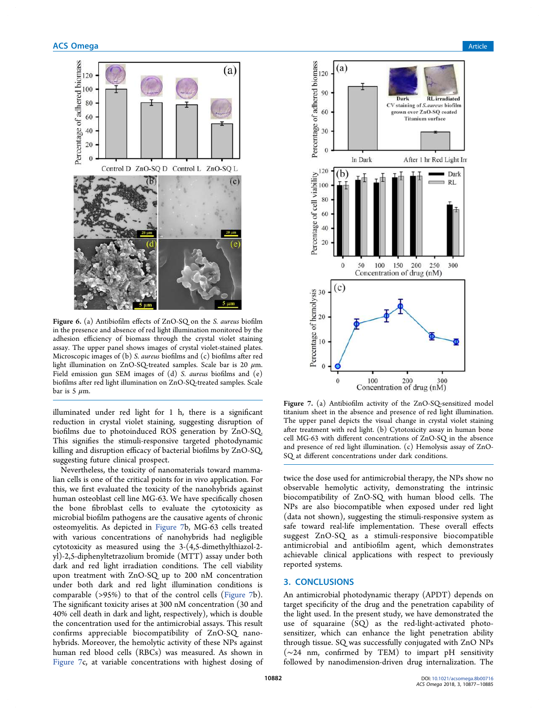

Figure 6. (a) Antibiofilm effects of ZnO-SQ on the S. aureus biofilm in the presence and absence of red light illumination monitored by the adhesion efficiency of biomass through the crystal violet staining assay. The upper panel shows images of crystal violet-stained plates. Microscopic images of (b) S. aureus biofilms and (c) biofilms after red light illumination on ZnO-SQ-treated samples. Scale bar is 20  $\mu$ m. Field emission gun SEM images of (d) S. aureus biofilms and (e) biofilms after red light illumination on ZnO-SQ-treated samples. Scale bar is 5  $\mu$ m.

illuminated under red light for 1 h, there is a significant reduction in crystal violet staining, suggesting disruption of biofilms due to photoinduced ROS generation by ZnO-SQ. This signifies the stimuli-responsive targeted photodynamic killing and disruption efficacy of bacterial biofilms by ZnO-SQ, suggesting future clinical prospect.

Nevertheless, the toxicity of nanomaterials toward mammalian cells is one of the critical points for in vivo application. For this, we first evaluated the toxicity of the nanohybrids against human osteoblast cell line MG-63. We have specifically chosen the bone fibroblast cells to evaluate the cytotoxicity as microbial biofilm pathogens are the causative agents of chronic osteomyelitis. As depicted in Figure 7b, MG-63 cells treated with various concentrations of nanohybrids had negligible cytotoxicity as measured using the 3-(4,5-dimethylthiazol-2 yl)-2,5-diphenyltetrazolium bromide (MTT) assay under both dark and red light irradiation conditions. The cell viability upon treatment with ZnO-SQ up to 200 nM concentration under both dark and red light illumination conditions is comparable (>95%) to that of the control cells (Figure 7b). The significant toxicity arises at 300 nM concentration (30 and 40% cell death in dark and light, respectively), which is double the concentration used for the antimicrobial assays. This result confirms appreciable biocompatibility of ZnO-SQ nanohybrids. Moreover, the hemolytic activity of these NPs against human red blood cells (RBCs) was measured. As shown in Figure 7c, at variable concentrations with highest dosing of



Figure 7. (a) Antibiofilm activity of the ZnO-SQ-sensitized model titanium sheet in the absence and presence of red light illumination. The upper panel depicts the visual change in crystal violet staining after treatment with red light. (b) Cytotoxicity assay in human bone cell MG-63 with different concentrations of ZnO-SQ in the absence and presence of red light illumination. (c) Hemolysis assay of ZnO-SQ at different concentrations under dark conditions.

twice the dose used for antimicrobial therapy, the NPs show no observable hemolytic activity, demonstrating the intrinsic biocompatibility of ZnO-SQ with human blood cells. The NPs are also biocompatible when exposed under red light (data not shown), suggesting the stimuli-responsive system as safe toward real-life implementation. These overall effects suggest ZnO-SQ as a stimuli-responsive biocompatible antimicrobial and antibiofilm agent, which demonstrates achievable clinical applications with respect to previously reported systems.

# 3. CONCLUSIONS

An antimicrobial photodynamic therapy (APDT) depends on target specificity of the drug and the penetration capability of the light used. In the present study, we have demonstrated the use of squaraine (SQ) as the red-light-activated photosensitizer, which can enhance the light penetration ability through tissue. SQ was successfully conjugated with ZnO NPs (∼24 nm, confirmed by TEM) to impart pH sensitivity followed by nanodimension-driven drug internalization. The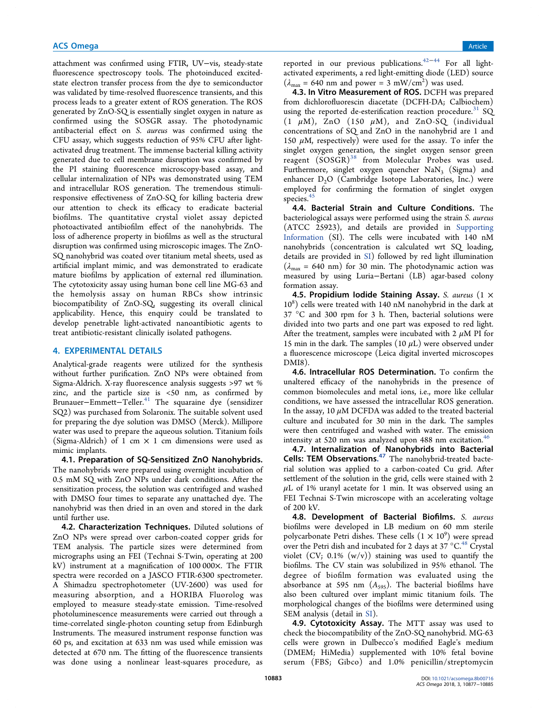attachment was confirmed using FTIR, UV−vis, steady-state fluorescence spectroscopy tools. The photoinduced excitedstate electron transfer process from the dye to semiconductor was validated by time-resolved fluorescence transients, and this process leads to a greater extent of ROS generation. The ROS generated by ZnO-SQ is essentially singlet oxygen in nature as confirmed using the SOSGR assay. The photodynamic antibacterial effect on S. aureus was confirmed using the CFU assay, which suggests reduction of 95% CFU after lightactivated drug treatment. The immense bacterial killing activity generated due to cell membrane disruption was confirmed by the PI staining fluorescence microscopy-based assay, and cellular internalization of NPs was demonstrated using TEM and intracellular ROS generation. The tremendous stimuliresponsive effectiveness of ZnO-SQ for killing bacteria drew our attention to check its efficacy to eradicate bacterial biofilms. The quantitative crystal violet assay depicted photoactivated antibiofilm effect of the nanohybrids. The loss of adherence property in biofilms as well as the structural disruption was confirmed using microscopic images. The ZnO-SQ nanohybrid was coated over titanium metal sheets, used as artificial implant mimic, and was demonstrated to eradicate mature biofilms by application of external red illumination. The cytotoxicity assay using human bone cell line MG-63 and the hemolysis assay on human RBCs show intrinsic biocompatibility of ZnO-SQ, suggesting its overall clinical applicability. Hence, this enquiry could be translated to develop penetrable light-activated nanoantibiotic agents to treat antibiotic-resistant clinically isolated pathogens.

# 4. EXPERIMENTAL DETAILS

Analytical-grade reagents were utilized for the synthesis without further purification. ZnO NPs were obtained from Sigma-Aldrich. X-ray fluorescence analysis suggests >97 wt % zinc, and the particle size is <50 nm, as confirmed by Brunauer−Emmett−Teller.<sup>41</sup> The squaraine dye (sensidizer SQ2) was purchased from Solaronix. The suitable solvent used for preparing the dye solution was DMSO (Merck). Millipore water was used to prepare the aqueous solution. Titanium foils (Sigma-Aldrich) of 1 cm  $\times$  1 cm dimensions were used as mimic implants.

4.1. Preparation of SQ-Sensitized ZnO Nanohybrids. The nanohybrids were prepared using overnight incubation of 0.5 mM SQ with ZnO NPs under dark conditions. After the sensitization process, the solution was centrifuged and washed with DMSO four times to separate any unattached dye. The nanohybrid was then dried in an oven and stored in the dark until further use.

4.2. Characterization Techniques. Diluted solutions of ZnO NPs were spread over carbon-coated copper grids for TEM analysis. The particle sizes were determined from micrographs using an FEI (Technai S-Twin, operating at 200 kV) instrument at a magnification of 100 000×. The FTIR spectra were recorded on a JASCO FTIR-6300 spectrometer. A Shimadzu spectrophotometer (UV-2600) was used for measuring absorption, and a HORIBA Fluorolog was employed to measure steady-state emission. Time-resolved photoluminescence measurements were carried out through a time-correlated single-photon counting setup from Edinburgh Instruments. The measured instrument response function was 60 ps, and excitation at 633 nm was used while emission was detected at 670 nm. The fitting of the fluorescence transients was done using a nonlinear least-squares procedure, as

reported in our previous publications.42−<sup>44</sup> For all lightactivated experiments, a red light-emitting diode (LED) source  $(\lambda_{\text{max}} = 640 \text{ nm} \text{ and power} = 3 \text{ mW/cm}^2)$  was used.

4.3. In Vitro Measurement of ROS. DCFH was prepared from dichlorofluorescin diacetate (DCFH-DA; Calbiochem) using the reported de-esterification reaction procedure.<sup>31</sup> SQ  $(1 \mu M)$ , ZnO  $(150 \mu M)$ , and ZnO-SQ (individual concentrations of SQ and ZnO in the nanohybrid are 1 and 150  $\mu$ M, respectively) were used for the assay. To infer the singlet oxygen generation, the singlet oxygen sensor green reagent (SOSGR)<sup>38</sup> from Molecular Probes was used. Furthermore, singlet oxygen quencher  $\text{NaN}_3$  (Sigma) and enhancer  $D_2O$  (Cambridge Isotope Laboratories, Inc.) were employed for confirming the formation of singlet oxygen species. $45$ 

4.4. Bacterial Strain and Culture Conditions. The bacteriological assays were performed using the strain S. aureus (ATCC 25923), and details are provided in Supporting Information (SI). The cells were incubated with 140 nM nanohybrids (concentration is calculated wrt SQ loading, details are provided in SI) followed by red light illumination  $(\lambda_{\text{max}} = 640 \text{ nm})$  for 30 min. The photodynamic action was measured by using Luria−Bertani (LB) agar-based colony formation assay.

4.5. Propidium Iodide Staining Assay. S. aureus  $(1 \times$ 10<sup>8</sup> ) cells were treated with 140 nM nanohybrid in the dark at 37 °C and 300 rpm for 3 h. Then, bacterial solutions were divided into two parts and one part was exposed to red light. After the treatment, samples were incubated with 2  $\mu$ M PI for 15 min in the dark. The samples  $(10 \mu L)$  were observed under a fluorescence microscope (Leica digital inverted microscopes DMI8).

4.6. Intracellular ROS Determination. To confirm the unaltered efficacy of the nanohybrids in the presence of common biomolecules and metal ions, i.e., more like cellular conditions, we have assessed the intracellular ROS generation. In the assay, 10  $\mu$ M DCFDA was added to the treated bacterial culture and incubated for 30 min in the dark. The samples were then centrifuged and washed with water. The emission intensity at 520 nm was analyzed upon 488 nm excitation.<sup>46</sup>

4.7. Internalization of Nanohybrids into Bacterial Cells: TEM Observations.<sup>47</sup> The nanohybrid-treated bacterial solution was applied to a carbon-coated Cu grid. After settlement of the solution in the grid, cells were stained with 2  $\mu$ L of 1% uranyl acetate for 1 min. It was observed using an FEI Technai S-Twin microscope with an accelerating voltage of 200 kV.

4.8. Development of Bacterial Biofilms. S. aureus biofilms were developed in LB medium on 60 mm sterile polycarbonate Petri dishes. These cells  $(1 \times 10^9)$  were spread over the Petri dish and incubated for 2 days at 37 °C.<sup>48</sup> Crystal violet  $(CV; 0.1\% (w/v))$  staining was used to quantify the biofilms. The CV stain was solubilized in 95% ethanol. The degree of biofilm formation was evaluated using the absorbance at 595 nm  $(A<sub>595</sub>)$ . The bacterial biofilms have also been cultured over implant mimic titanium foils. The morphological changes of the biofilms were determined using SEM analysis (detail in SI).

4.9. Cytotoxicity Assay. The MTT assay was used to check the biocompatibility of the ZnO-SQ nanohybrid. MG-63 cells were grown in Dulbecco's modified Eagle's medium (DMEM; HiMedia) supplemented with 10% fetal bovine serum (FBS; Gibco) and 1.0% penicillin/streptomycin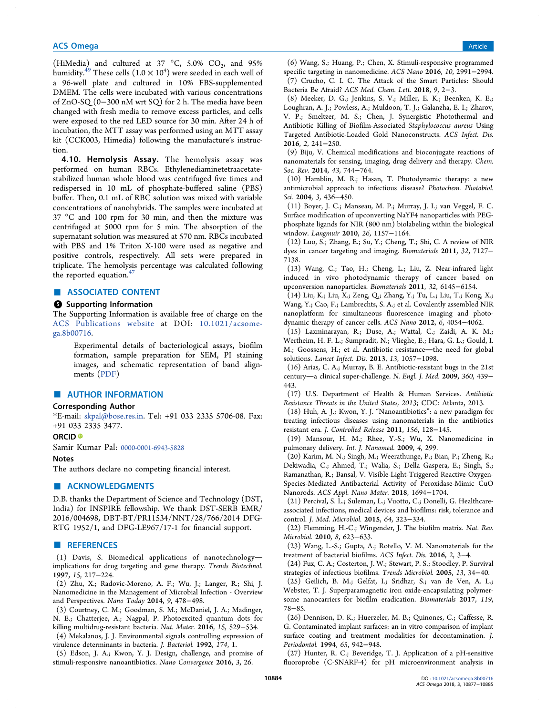(HiMedia) and cultured at 37 °C, 5.0%  $CO_2$ , and 95% humidity.<sup>49</sup> These cells  $(1.0 \times 10^4)$  were seeded in each well of a 96-well plate and cultured in 10% FBS-supplemented DMEM. The cells were incubated with various concentrations of ZnO-SQ (0−300 nM wrt SQ) for 2 h. The media have been changed with fresh media to remove excess particles, and cells were exposed to the red LED source for 30 min. After 24 h of incubation, the MTT assay was performed using an MTT assay kit (CCK003, Himedia) following the manufacture's instruction.

4.10. Hemolysis Assay. The hemolysis assay was performed on human RBCs. Ethylenediaminetetraacetatestabilized human whole blood was centrifuged five times and redispersed in 10 mL of phosphate-buffered saline (PBS) buffer. Then, 0.1 mL of RBC solution was mixed with variable concentrations of nanohybrids. The samples were incubated at 37 °C and 100 rpm for 30 min, and then the mixture was centrifuged at 5000 rpm for 5 min. The absorption of the supernatant solution was measured at 570 nm. RBCs incubated with PBS and 1% Triton X-100 were used as negative and positive controls, respectively. All sets were prepared in triplicate. The hemolysis percentage was calculated following the reported equation. $47$ 

# ■ ASSOCIATED CONTENT

#### **6** Supporting Information

The Supporting Information is available free of charge on the ACS Publications website at DOI: 10.1021/acsomega.8b00716.

Experimental details of bacteriological assays, biofilm formation, sample preparation for SEM, PI staining images, and schematic representation of band alignments (PDF)

# ■ AUTHOR INFORMATION

#### Corresponding Author

\*E-mail: skpal@bose.res.in. Tel: +91 033 2335 5706-08. Fax: +91 033 2335 3477.

#### ORCID<sup>®</sup>

Samir Kumar Pal: 0000-0001-6943-5828

#### Notes

The authors declare no competing financial interest.

### ■ ACKNOWLEDGMENTS

D.B. thanks the Department of Science and Technology (DST, India) for INSPIRE fellowship. We thank DST-SERB EMR/ 2016/004698, DBT-BT/PR11534/NNT/28/766/2014 DFG-RTG 1952/1, and DFG-LE967/17-1 for financial support. ■ REFERENCES

(1) Davis, S. Biomedical applications of nanotechnology implications for drug targeting and gene therapy. Trends Biotechnol. 1997, 15, 217−224.

(2) Zhu, X.; Radovic-Moreno, A. F.; Wu, J.; Langer, R.; Shi, J. Nanomedicine in the Management of Microbial Infection - Overview and Perspectives. Nano Today 2014, 9, 478−498.

(3) Courtney, C. M.; Goodman, S. M.; McDaniel, J. A.; Madinger, N. E.; Chatterjee, A.; Nagpal, P. Photoexcited quantum dots for killing multidrug-resistant bacteria. Nat. Mater. 2016, 15, 529−534.

(4) Mekalanos, J. J. Environmental signals controlling expression of virulence determinants in bacteria. J. Bacteriol. 1992, 174, 1.

(5) Edson, J. A.; Kwon, Y. J. Design, challenge, and promise of stimuli-responsive nanoantibiotics. Nano Convergence 2016, 3, 26.

(6) Wang, S.; Huang, P.; Chen, X. Stimuli-responsive programmed specific targeting in nanomedicine. ACS Nano 2016, 10, 2991−2994. (7) Crucho, C. I. C. The Attack of the Smart Particles: Should Bacteria Be Afraid? ACS Med. Chem. Lett. 2018, 9, 2−3.

(8) Meeker, D. G.; Jenkins, S. V.; Miller, E. K.; Beenken, K. E.; Loughran, A. J.; Powless, A.; Muldoon, T. J.; Galanzha, E. I.; Zharov, V. P.; Smeltzer, M. S.; Chen, J. Synergistic Photothermal and Antibiotic Killing of Biofilm-Associated Staphylococcus aureus Using Targeted Antibiotic-Loaded Gold Nanoconstructs. ACS Infect. Dis. 2016, 2, 241−250.

(9) Biju, V. Chemical modifications and bioconjugate reactions of nanomaterials for sensing, imaging, drug delivery and therapy. Chem. Soc. Rev. 2014, 43, 744−764.

(10) Hamblin, M. R.; Hasan, T. Photodynamic therapy: a new antimicrobial approach to infectious disease? Photochem. Photobiol. Sci. 2004, 3, 436−450.

(11) Boyer, J. C.; Manseau, M. P.; Murray, J. I.; van Veggel, F. C. Surface modification of upconverting NaYF4 nanoparticles with PEGphosphate ligands for NIR (800 nm) biolabeling within the biological window. Langmuir 2010, 26, 1157−1164.

(12) Luo, S.; Zhang, E.; Su, Y.; Cheng, T.; Shi, C. A review of NIR dyes in cancer targeting and imaging. Biomaterials 2011, 32, 7127− 7138.

(13) Wang, C.; Tao, H.; Cheng, L.; Liu, Z. Near-infrared light induced in vivo photodynamic therapy of cancer based on upconversion nanoparticles. Biomaterials 2011, 32, 6145−6154.

(14) Liu, K.; Liu, X.; Zeng, Q.; Zhang, Y.; Tu, L.; Liu, T.; Kong, X.; Wang, Y.; Cao, F.; Lambrechts, S. A.; et al. Covalently assembled NIR nanoplatform for simultaneous fluorescence imaging and photodynamic therapy of cancer cells. ACS Nano 2012, 6, 4054−4062.

(15) Laxminarayan, R.; Duse, A.; Wattal, C.; Zaidi, A. K. M.; Wertheim, H. F. L.; Sumpradit, N.; Vlieghe, E.; Hara, G. L.; Gould, I. M.; Goossens, H.; et al. Antibiotic resistance-the need for global solutions. Lancet Infect. Dis. 2013, 13, 1057−1098.

(16) Arias, C. A.; Murray, B. E. Antibiotic-resistant bugs in the 21st century—a clinical super-challenge. N. Engl. J. Med. 2009, 360, 439− 443.

(17) U.S. Department of Health & Human Services. Antibiotic Resistance Threats in the United States, 2013; CDC: Atlanta, 2013.

(18) Huh, A. J.; Kwon, Y. J. "Nanoantibiotics": a new paradigm for treating infectious diseases using nanomaterials in the antibiotics resistant era. J. Controlled Release 2011, 156, 128−145.

(19) Mansour, H. M.; Rhee, Y.-S.; Wu, X. Nanomedicine in pulmonary delivery. Int. J. Nanomed. 2009, 4, 299.

(20) Karim, M. N.; Singh, M.; Weerathunge, P.; Bian, P.; Zheng, R.; Dekiwadia, C.; Ahmed, T.; Walia, S.; Della Gaspera, E.; Singh, S.; Ramanathan, R.; Bansal, V. Visible-Light-Triggered Reactive-Oxygen-Species-Mediated Antibacterial Activity of Peroxidase-Mimic CuO Nanorods. ACS Appl. Nano Mater. 2018, 1694−1704.

(21) Percival, S. L.; Suleman, L.; Vuotto, C.; Donelli, G. Healthcareassociated infections, medical devices and biofilms: risk, tolerance and control. J. Med. Microbiol. 2015, 64, 323−334.

(22) Flemming, H.-C.; Wingender, J. The biofilm matrix. Nat. Rev. Microbiol. 2010, 8, 623−633.

(23) Wang, L.-S.; Gupta, A.; Rotello, V. M. Nanomaterials for the treatment of bacterial biofilms. ACS Infect. Dis. 2016, 2, 3−4.

(24) Fux, C. A.; Costerton, J. W.; Stewart, P. S.; Stoodley, P. Survival strategies of infectious biofilms. Trends Microbiol. 2005, 13, 34−40.

(25) Geilich, B. M.; Gelfat, I.; Sridhar, S.; van de Ven, A. L.; Webster, T. J. Superparamagnetic iron oxide-encapsulating polymersome nanocarriers for biofilm eradication. Biomaterials 2017, 119, 78−85.

(26) Dennison, D. K.; Huerzeler, M. B.; Quinones, C.; Caffesse, R. G. Contaminated implant surfaces: an in vitro comparison of implant surface coating and treatment modalities for decontamination. J. Periodontol. 1994, 65, 942−948.

(27) Hunter, R. C.; Beveridge, T. J. Application of a pH-sensitive fluoroprobe (C-SNARF-4) for pH microenvironment analysis in